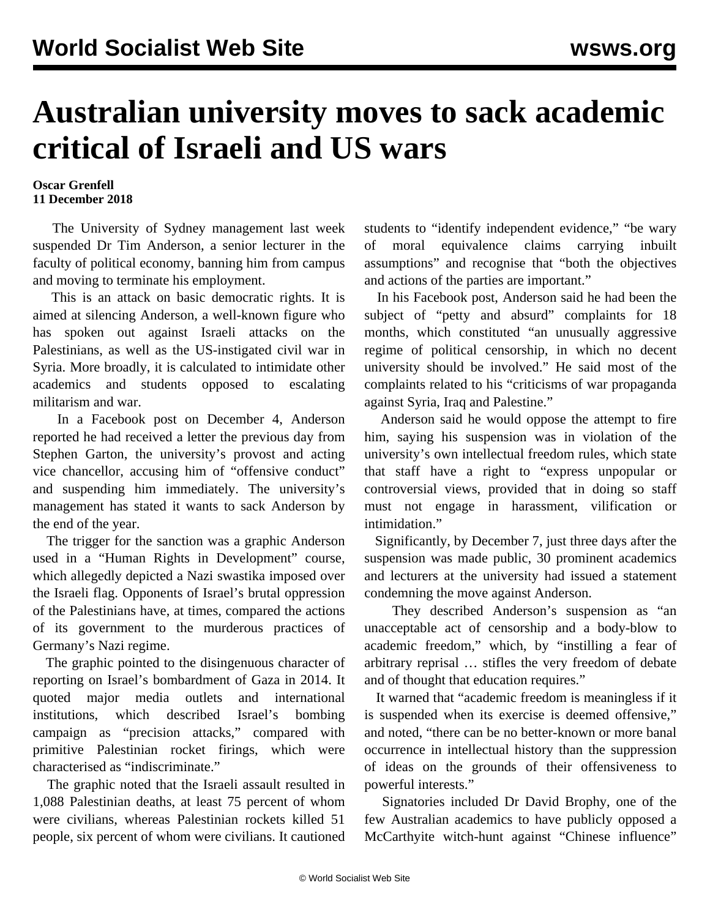## **Australian university moves to sack academic critical of Israeli and US wars**

## **Oscar Grenfell 11 December 2018**

 The University of Sydney management last week suspended Dr Tim Anderson, a senior lecturer in the faculty of political economy, banning him from campus and moving to terminate his employment.

 This is an attack on basic democratic rights. It is aimed at silencing Anderson, a well-known figure who has spoken out against Israeli attacks on the Palestinians, as well as the US-instigated civil war in Syria. More broadly, it is calculated to intimidate other academics and students opposed to escalating militarism and war.

 In a Facebook post on December 4, Anderson reported he had received a letter the previous day from Stephen Garton, the university's provost and acting vice chancellor, accusing him of "offensive conduct" and suspending him immediately. The university's management has stated it wants to sack Anderson by the end of the year.

 The trigger for the sanction was a graphic Anderson used in a "Human Rights in Development" course, which allegedly depicted a Nazi swastika imposed over the Israeli flag. Opponents of Israel's brutal oppression of the Palestinians have, at times, compared the actions of its government to the murderous practices of Germany's Nazi regime.

 The graphic pointed to the disingenuous character of reporting on Israel's bombardment of Gaza in 2014. It quoted major media outlets and international institutions, which described Israel's bombing campaign as "precision attacks," compared with primitive Palestinian rocket firings, which were characterised as "indiscriminate."

 The graphic noted that the Israeli assault resulted in 1,088 Palestinian deaths, at least 75 percent of whom were civilians, whereas Palestinian rockets killed 51 people, six percent of whom were civilians. It cautioned students to "identify independent evidence," "be wary of moral equivalence claims carrying inbuilt assumptions" and recognise that "both the objectives and actions of the parties are important."

 In his Facebook post, Anderson said he had been the subject of "petty and absurd" complaints for 18 months, which constituted "an unusually aggressive regime of political censorship, in which no decent university should be involved." He said most of the complaints related to his "criticisms of war propaganda against Syria, Iraq and Palestine."

 Anderson said he would oppose the attempt to fire him, saying his suspension was in violation of the university's own intellectual freedom rules, which state that staff have a right to "express unpopular or controversial views, provided that in doing so staff must not engage in harassment, vilification or intimidation."

 Significantly, by December 7, just three days after the suspension was made public, 30 prominent academics and lecturers at the university had issued a statement condemning the move against Anderson.

 They described Anderson's suspension as "an unacceptable act of censorship and a body-blow to academic freedom," which, by "instilling a fear of arbitrary reprisal … stifles the very freedom of debate and of thought that education requires."

 It warned that "academic freedom is meaningless if it is suspended when its exercise is deemed offensive," and noted, "there can be no better-known or more banal occurrence in intellectual history than the suppression of ideas on the grounds of their offensiveness to powerful interests."

 Signatories included Dr David Brophy, one of the few Australian academics to have publicly opposed a McCarthyite witch-hunt against "Chinese influence"